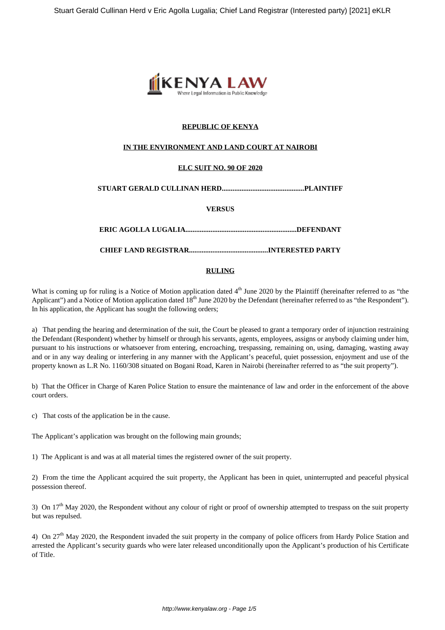

# **REPUBLIC OF KENYA**

### **IN THE ENVIRONMENT AND LAND COURT AT NAIROBI**

## **ELC SUIT NO. 90 OF 2020**

### **STUART GERALD CULLINAN HERD..............................................PLAINTIFF**

### **VERSUS**

**ERIC AGOLLA LUGALIA..............................................................DEFENDANT**

**CHIEF LAND REGISTRAR............................................INTERESTED PARTY**

### **RULING**

What is coming up for ruling is a Notice of Motion application dated  $4<sup>th</sup>$  June 2020 by the Plaintiff (hereinafter referred to as "the Applicant") and a Notice of Motion application dated 18<sup>th</sup> June 2020 by the Defendant (hereinafter referred to as "the Respondent"). In his application, the Applicant has sought the following orders;

a) That pending the hearing and determination of the suit, the Court be pleased to grant a temporary order of injunction restraining the Defendant (Respondent) whether by himself or through his servants, agents, employees, assigns or anybody claiming under him, pursuant to his instructions or whatsoever from entering, encroaching, trespassing, remaining on, using, damaging, wasting away and or in any way dealing or interfering in any manner with the Applicant's peaceful, quiet possession, enjoyment and use of the property known as L.R No. 1160/308 situated on Bogani Road, Karen in Nairobi (hereinafter referred to as "the suit property").

b) That the Officer in Charge of Karen Police Station to ensure the maintenance of law and order in the enforcement of the above court orders.

c) That costs of the application be in the cause.

The Applicant's application was brought on the following main grounds;

1) The Applicant is and was at all material times the registered owner of the suit property.

2) From the time the Applicant acquired the suit property, the Applicant has been in quiet, uninterrupted and peaceful physical possession thereof.

3) On  $17<sup>th</sup>$  May 2020, the Respondent without any colour of right or proof of ownership attempted to trespass on the suit property but was repulsed.

4) On  $27<sup>th</sup>$  May 2020, the Respondent invaded the suit property in the company of police officers from Hardy Police Station and arrested the Applicant's security guards who were later released unconditionally upon the Applicant's production of his Certificate of Title.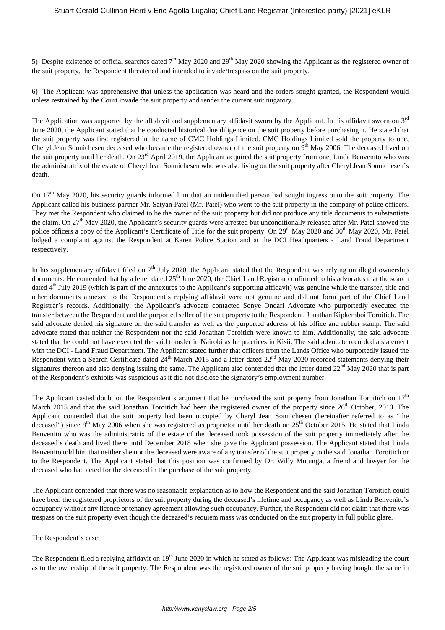5) Despite existence of official searches dated  $7<sup>th</sup>$  May 2020 and 29<sup>th</sup> May 2020 showing the Applicant as the registered owner of the suit property, the Respondent threatened and intended to invade/trespass on the suit property.

6) The Applicant was apprehensive that unless the application was heard and the orders sought granted, the Respondent would unless restrained by the Court invade the suit property and render the current suit nugatory.

The Application was supported by the affidavit and supplementary affidavit sworn by the Applicant. In his affidavit sworn on 3<sup>rd</sup> June 2020, the Applicant stated that he conducted historical due diligence on the suit property before purchasing it. He stated that the suit property was first registered in the name of CMC Holdings Limited. CMC Holdings Limited sold the property to one, Cheryl Jean Sonnichesen deceased who became the registered owner of the suit property on 9<sup>th</sup> May 2006. The deceased lived on the suit property until her death. On 23<sup>rd</sup> April 2019, the Applicant acquired the suit property from one, Linda Benvenito who was the administratrix of the estate of Cheryl Jean Sonnichesen who was also living on the suit property after Cheryl Jean Sonnichesen's death.

On 17<sup>th</sup> May 2020, his security guards informed him that an unidentified person had sought ingress onto the suit property. The Applicant called his business partner Mr. Satyan Patel (Mr. Patel) who went to the suit property in the company of police officers. They met the Respondent who claimed to be the owner of the suit property but did not produce any title documents to substantiate the claim. On  $27<sup>th</sup>$  May 2020, the Applicant's security guards were arrested but unconditionally released after Mr. Patel showed the police officers a copy of the Applicant's Certificate of Title for the suit property. On 29<sup>th</sup> May 2020 and 30<sup>th</sup> May 2020, Mr. Patel lodged a complaint against the Respondent at Karen Police Station and at the DCI Headquarters - Land Fraud Department respectively.

In his supplementary affidavit filed on  $7<sup>th</sup>$  July 2020, the Applicant stated that the Respondent was relying on illegal ownership documents. He contended that by a letter dated 25<sup>th</sup> June 2020, the Chief Land Registrar confirmed to his advocates that the search dated 4<sup>th</sup> July 2019 (which is part of the annexures to the Applicant's supporting affidavit) was genuine while the transfer, title and other documents annexed to the Respondent's replying affidavit were not genuine and did not form part of the Chief Land Registrar's records. Additionally, the Applicant's advocate contacted Sonye Ondari Advocate who purportedly executed the transfer between the Respondent and the purported seller of the suit property to the Respondent, Jonathan Kipkemboi Toroitich. The said advocate denied his signature on the said transfer as well as the purported address of his office and rubber stamp. The said advocate stated that neither the Respondent nor the said Jonathan Toroitich were known to him. Additionally, the said advocate stated that he could not have executed the said transfer in Nairobi as he practices in Kisii. The said advocate recorded a statement with the DCI - Land Fraud Department. The Applicant stated further that officers from the Lands Office who purportedly issued the Respondent with a Search Certificate dated  $24<sup>th</sup>$  March 2015 and a letter dated  $22<sup>nd</sup>$  May 2020 recorded statements denying their signatures thereon and also denying issuing the same. The Applicant also contended that the letter dated  $22<sup>nd</sup>$  May 2020 that is part of the Respondent's exhibits was suspicious as it did not disclose the signatory's employment number.

The Applicant casted doubt on the Respondent's argument that he purchased the suit property from Jonathan Toroitich on  $17<sup>th</sup>$ March 2015 and that the said Jonathan Toroitich had been the registered owner of the property since  $26<sup>th</sup>$  October, 2010. The Applicant contended that the suit property had been occupied by Cheryl Jean Sonnichesen (hereinafter referred to as "the deceased") since 9<sup>th</sup> May 2006 when she was registered as proprietor until her death on  $25<sup>th</sup>$  October 2015. He stated that Linda Benvenito who was the administratrix of the estate of the deceased took possession of the suit property immediately after the deceased's death and lived there until December 2018 when she gave the Applicant possession. The Applicant stated that Linda Benvenito told him that neither she nor the deceased were aware of any transfer of the suit property to the said Jonathan Toroitich or to the Respondent. The Applicant stated that this position was confirmed by Dr. Willy Mutunga, a friend and lawyer for the deceased who had acted for the deceased in the purchase of the suit property.

The Applicant contended that there was no reasonable explanation as to how the Respondent and the said Jonathan Toroitich could have been the registered proprietors of the suit property during the deceased's lifetime and occupancy as well as Linda Benvenito's occupancy without any licence or tenancy agreement allowing such occupancy. Further, the Respondent did not claim that there was trespass on the suit property even though the deceased's requiem mass was conducted on the suit property in full public glare.

#### The Respondent's case:

The Respondent filed a replying affidavit on 19<sup>th</sup> June 2020 in which he stated as follows: The Applicant was misleading the court as to the ownership of the suit property. The Respondent was the registered owner of the suit property having bought the same in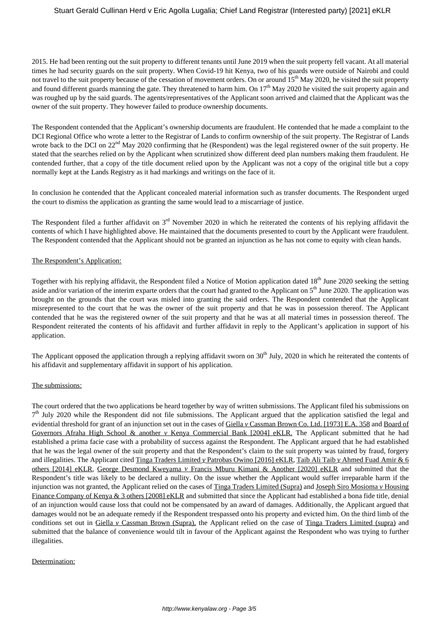## Stuart Gerald Cullinan Herd v Eric Agolla Lugalia; Chief Land Registrar (Interested party) [2021] eKLR

2015. He had been renting out the suit property to different tenants until June 2019 when the suit property fell vacant. At all material times he had security guards on the suit property. When Covid-19 hit Kenya, two of his guards were outside of Nairobi and could not travel to the suit property because of the cessation of movement orders. On or around 15<sup>th</sup> May 2020, he visited the suit property and found different guards manning the gate. They threatened to harm him. On 17<sup>th</sup> May 2020 he visited the suit property again and was roughed up by the said guards. The agents/representatives of the Applicant soon arrived and claimed that the Applicant was the owner of the suit property. They however failed to produce ownership documents.

The Respondent contended that the Applicant's ownership documents are fraudulent. He contended that he made a complaint to the DCI Regional Office who wrote a letter to the Registrar of Lands to confirm ownership of the suit property. The Registrar of Lands wrote back to the DCI on 22<sup>nd</sup> May 2020 confirming that he (Respondent) was the legal registered owner of the suit property. He stated that the searches relied on by the Applicant when scrutinized show different deed plan numbers making them fraudulent. He contended further, that a copy of the title document relied upon by the Applicant was not a copy of the original title but a copy normally kept at the Lands Registry as it had markings and writings on the face of it.

In conclusion he contended that the Applicant concealed material information such as transfer documents. The Respondent urged the court to dismiss the application as granting the same would lead to a miscarriage of justice.

The Respondent filed a further affidavit on  $3<sup>rd</sup>$  November 2020 in which he reiterated the contents of his replying affidavit the contents of which I have highlighted above. He maintained that the documents presented to court by the Applicant were fraudulent. The Respondent contended that the Applicant should not be granted an injunction as he has not come to equity with clean hands.

### The Respondent's Application:

Together with his replying affidavit, the Respondent filed a Notice of Motion application dated 18<sup>th</sup> June 2020 seeking the setting aside and/or variation of the interim exparte orders that the court had granted to the Applicant on 5<sup>th</sup> June 2020. The application was brought on the grounds that the court was misled into granting the said orders. The Respondent contended that the Applicant misrepresented to the court that he was the owner of the suit property and that he was in possession thereof. The Applicant contended that he was the registered owner of the suit property and that he was at all material times in possession thereof. The Respondent reiterated the contents of his affidavit and further affidavit in reply to the Applicant's application in support of his application.

The Applicant opposed the application through a replying affidavit sworn on  $30<sup>th</sup>$  July, 2020 in which he reiterated the contents of his affidavit and supplementary affidavit in support of his application.

#### The submissions:

The court ordered that the two applications be heard together by way of written submissions. The Applicant filed his submissions on 7<sup>th</sup> July 2020 while the Respondent did not file submissions. The Applicant argued that the application satisfied the legal and evidential threshold for grant of an injunction set out in the cases of Giella *v* Cassman Brown Co. Ltd. [1973] E.A. 358 and Board of Governors Afraha High School & another *v* Kenya Commercial Bank [2004] eKLR. The Applicant submitted that he had established a prima facie case with a probability of success against the Respondent. The Applicant argued that he had established that he was the legal owner of the suit property and that the Respondent's claim to the suit property was tainted by fraud, forgery and illegalities. The Applicant cited Tinga Traders Limited *v* Patrobas Owino [2016] eKLR, Taib Ali Taib *v* Ahmed Fuad Amir & 6 others [2014] eKLR, George Desmond Kweyama *v* Francis Mburu Kimani & Another [2020] eKLR and submitted that the Respondent's title was likely to be declared a nullity. On the issue whether the Applicant would suffer irreparable harm if the injunction was not granted, the Applicant relied on the cases of Tinga Traders Limited (Supra) and Joseph Siro Mosioma *v* Housing Finance Company of Kenya & 3 others [2008] eKLR and submitted that since the Applicant had established a bona fide title, denial of an injunction would cause loss that could not be compensated by an award of damages. Additionally, the Applicant argued that damages would not be an adequate remedy if the Respondent trespassed onto his property and evicted him. On the third limb of the conditions set out in Giella *v* Cassman Brown (Supra), the Applicant relied on the case of Tinga Traders Limited (supra) and submitted that the balance of convenience would tilt in favour of the Applicant against the Respondent who was trying to further illegalities.

#### Determination: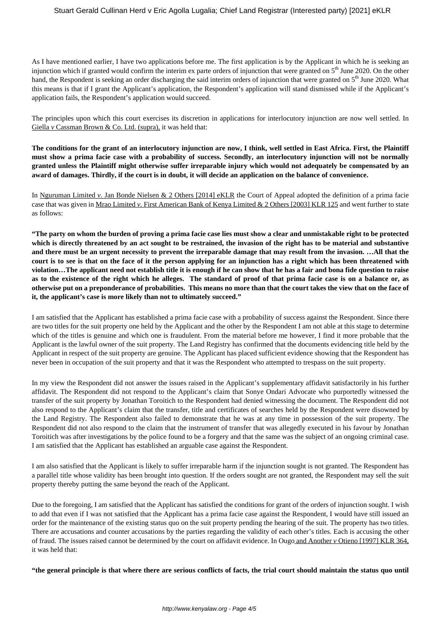As I have mentioned earlier, I have two applications before me. The first application is by the Applicant in which he is seeking an injunction which if granted would confirm the interim ex parte orders of injunction that were granted on 5<sup>th</sup> June 2020. On the other hand, the Respondent is seeking an order discharging the said interim orders of injunction that were granted on 5<sup>th</sup> June 2020. What this means is that if I grant the Applicant's application, the Respondent's application will stand dismissed while if the Applicant's application fails, the Respondent's application would succeed.

The principles upon which this court exercises its discretion in applications for interlocutory injunction are now well settled. In Giella *v* Cassman Brown & Co. Ltd. (supra), it was held that:

**The conditions for the grant of an interlocutory injunction are now, I think, well settled in East Africa. First, the Plaintiff must show a prima facie case with a probability of success. Secondly, an interlocutory injunction will not be normally granted unless the Plaintiff might otherwise suffer irreparable injury which would not adequately be compensated by an award of damages. Thirdly, if the court is in doubt, it will decide an application on the balance of convenience.** 

In Nguruman Limited *v*. Jan Bonde Nielsen & 2 Others [2014] eKLR the Court of Appeal adopted the definition of a prima facie case that was given in Mrao Limited *v*. First American Bank of Kenya Limited & 2 Others [2003] KLR 125 and went further to state as follows:

**"The party on whom the burden of proving a prima facie case lies must show a clear and unmistakable right to be protected which is directly threatened by an act sought to be restrained, the invasion of the right has to be material and substantive and there must be an urgent necessity to prevent the irreparable damage that may result from the invasion. …All that the court is to see is that on the face of it the person applying for an injunction has a right which has been threatened with violation…The applicant need not establish title it is enough if he can show that he has a fair and bona fide question to raise as to the existence of the right which he alleges. The standard of proof of that prima facie case is on a balance or, as otherwise put on a preponderance of probabilities. This means no more than that the court takes the view that on the face of it, the applicant's case is more likely than not to ultimately succeed."** 

I am satisfied that the Applicant has established a prima facie case with a probability of success against the Respondent. Since there are two titles for the suit property one held by the Applicant and the other by the Respondent I am not able at this stage to determine which of the titles is genuine and which one is fraudulent. From the material before me however, I find it more probable that the Applicant is the lawful owner of the suit property. The Land Registry has confirmed that the documents evidencing title held by the Applicant in respect of the suit property are genuine. The Applicant has placed sufficient evidence showing that the Respondent has never been in occupation of the suit property and that it was the Respondent who attempted to trespass on the suit property.

In my view the Respondent did not answer the issues raised in the Applicant's supplementary affidavit satisfactorily in his further affidavit. The Respondent did not respond to the Applicant's claim that Sonye Ondari Advocate who purportedly witnessed the transfer of the suit property by Jonathan Toroitich to the Respondent had denied witnessing the document. The Respondent did not also respond to the Applicant's claim that the transfer, title and certificates of searches held by the Respondent were disowned by the Land Registry. The Respondent also failed to demonstrate that he was at any time in possession of the suit property. The Respondent did not also respond to the claim that the instrument of transfer that was allegedly executed in his favour by Jonathan Toroitich was after investigations by the police found to be a forgery and that the same was the subject of an ongoing criminal case. I am satisfied that the Applicant has established an arguable case against the Respondent.

I am also satisfied that the Applicant is likely to suffer irreparable harm if the injunction sought is not granted. The Respondent has a parallel title whose validity has been brought into question. If the orders sought are not granted, the Respondent may sell the suit property thereby putting the same beyond the reach of the Applicant.

Due to the foregoing, I am satisfied that the Applicant has satisfied the conditions for grant of the orders of injunction sought. I wish to add that even if I was not satisfied that the Applicant has a prima facie case against the Respondent, I would have still issued an order for the maintenance of the existing status quo on the suit property pending the hearing of the suit. The property has two titles. There are accusations and counter accusations by the parties regarding the validity of each other's titles. Each is accusing the other of fraud. The issues raised cannot be determined by the court on affidavit evidence. In Ougo and Another *v* Otieno [1997] KLR 364, it was held that:

**"the general principle is that where there are serious conflicts of facts, the trial court should maintain the status quo until**